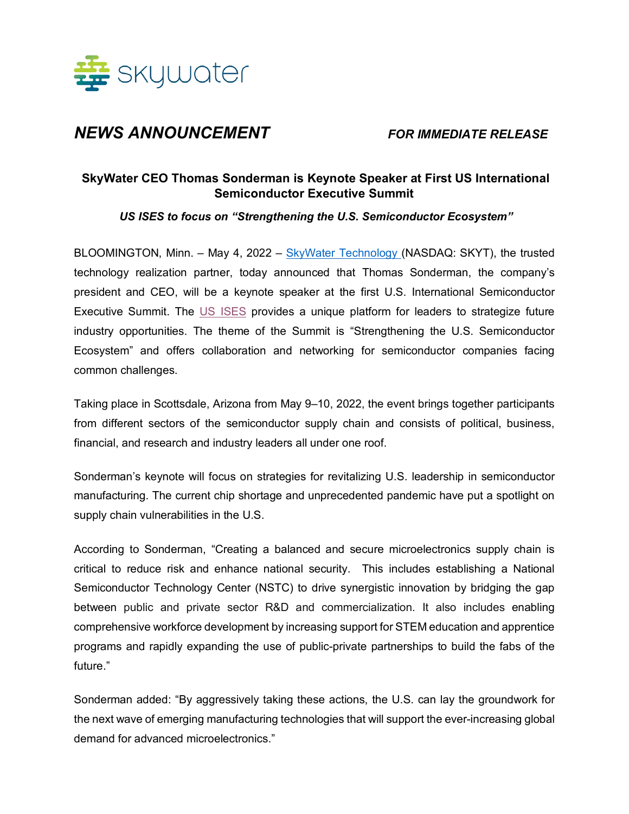

# *NEWS ANNOUNCEMENT FOR IMMEDIATE RELEASE*

## **SkyWater CEO Thomas Sonderman is Keynote Speaker at First US International Semiconductor Executive Summit**

*US ISES to focus on "Strengthening the U.S. Semiconductor Ecosystem"*

BLOOMINGTON, Minn. – May 4, 2022 – SkyWater Technology (NASDAQ: SKYT), the trusted technology realization partner, today announced that Thomas Sonderman, the company's president and CEO, will be a keynote speaker at the first U.S. International Semiconductor Executive Summit. The US ISES provides a unique platform for leaders to strategize future industry opportunities. The theme of the Summit is "Strengthening the U.S. Semiconductor Ecosystem" and offers collaboration and networking for semiconductor companies facing common challenges.

Taking place in Scottsdale, Arizona from May 9–10, 2022, the event brings together participants from different sectors of the semiconductor supply chain and consists of political, business, financial, and research and industry leaders all under one roof.

Sonderman's keynote will focus on strategies for revitalizing U.S. leadership in semiconductor manufacturing. The current chip shortage and unprecedented pandemic have put a spotlight on supply chain vulnerabilities in the U.S.

According to Sonderman, "Creating a balanced and secure microelectronics supply chain is critical to reduce risk and enhance national security. This includes establishing a National Semiconductor Technology Center (NSTC) to drive synergistic innovation by bridging the gap between public and private sector R&D and commercialization. It also includes enabling comprehensive workforce development by increasing support for STEM education and apprentice programs and rapidly expanding the use of public-private partnerships to build the fabs of the future."

Sonderman added: "By aggressively taking these actions, the U.S. can lay the groundwork for the next wave of emerging manufacturing technologies that will support the ever-increasing global demand for advanced microelectronics."